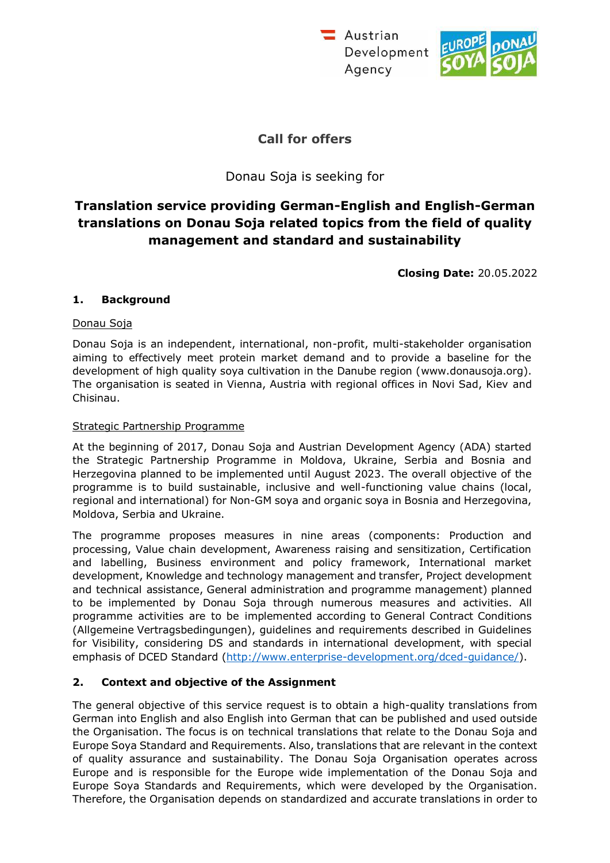Austrian Development Agency



# **Call for offers**

## Donau Soja is seeking for

# **Translation service providing German-English and English-German translations on Donau Soja related topics from the field of quality management and standard and sustainability**

**Closing Date:** 20.05.2022

### **1. Background**

### Donau Soja

Donau Soja is an independent, international, non-profit, multi-stakeholder organisation aiming to effectively meet protein market demand and to provide a baseline for the development of high quality soya cultivation in the Danube region (www.donausoja.org). The organisation is seated in Vienna, Austria with regional offices in Novi Sad, Kiev and Chisinau.

### Strategic Partnership Programme

At the beginning of 2017, Donau Soja and Austrian Development Agency (ADA) started the Strategic Partnership Programme in Moldova, Ukraine, Serbia and Bosnia and Herzegovina planned to be implemented until August 2023. The overall objective of the programme is to build sustainable, inclusive and well-functioning value chains (local, regional and international) for Non-GM soya and organic soya in Bosnia and Herzegovina, Moldova, Serbia and Ukraine.

The programme proposes measures in nine areas (components: Production and processing, Value chain development, Awareness raising and sensitization, Certification and labelling, Business environment and policy framework, International market development, Knowledge and technology management and transfer, Project development and technical assistance, General administration and programme management) planned to be implemented by Donau Soja through numerous measures and activities. All programme activities are to be implemented according to General Contract Conditions (Allgemeine Vertragsbedingungen), guidelines and requirements described in Guidelines for Visibility, considering DS and standards in international development, with special emphasis of DCED Standard [\(http://www.enterprise-development.org/dced-guidance/\).](http://www.enterprise-development.org/dced-guidance/))

## **2. Context and objective of the Assignment**

The general objective of this service request is to obtain a high-quality translations from German into English and also English into German that can be published and used outside the Organisation. The focus is on technical translations that relate to the Donau Soja and Europe Soya Standard and Requirements. Also, translations that are relevant in the context of quality assurance and sustainability. The Donau Soja Organisation operates across Europe and is responsible for the Europe wide implementation of the Donau Soja and Europe Soya Standards and Requirements, which were developed by the Organisation. Therefore, the Organisation depends on standardized and accurate translations in order to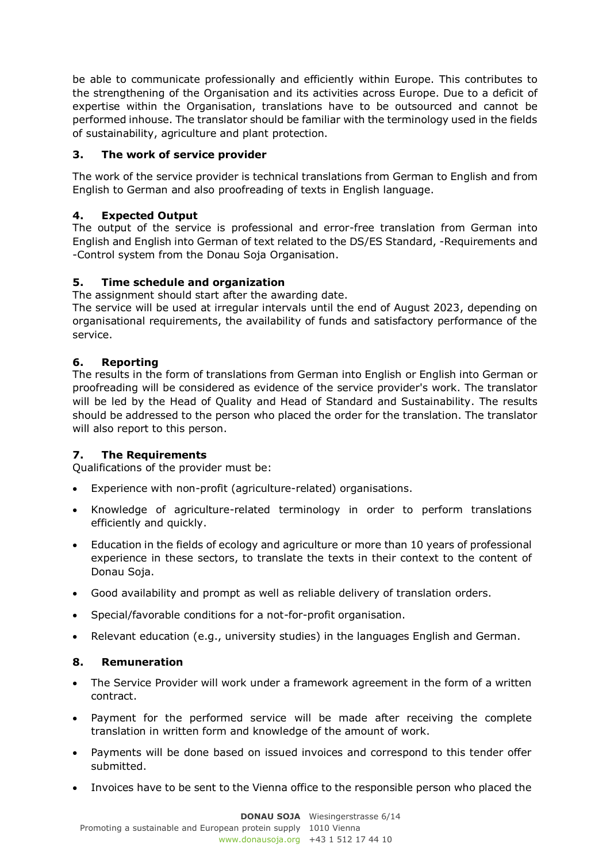be able to communicate professionally and efficiently within Europe. This contributes to the strengthening of the Organisation and its activities across Europe. Due to a deficit of expertise within the Organisation, translations have to be outsourced and cannot be performed inhouse. The translator should be familiar with the terminology used in the fields of sustainability, agriculture and plant protection.

## **3. The work of service provider**

The work of the service provider is technical translations from German to English and from English to German and also proofreading of texts in English language.

## **4. Expected Output**

The output of the service is professional and error-free translation from German into English and English into German of text related to the DS/ES Standard, -Requirements and -Control system from the Donau Soja Organisation.

## **5. Time schedule and organization**

The assignment should start after the awarding date.

The service will be used at irregular intervals until the end of August 2023, depending on organisational requirements, the availability of funds and satisfactory performance of the service.

## **6. Reporting**

The results in the form of translations from German into English or English into German or proofreading will be considered as evidence of the service provider's work. The translator will be led by the Head of Quality and Head of Standard and Sustainability. The results should be addressed to the person who placed the order for the translation. The translator will also report to this person.

## **7. The Requirements**

Qualifications of the provider must be:

- Experience with non-profit (agriculture-related) organisations.
- Knowledge of agriculture-related terminology in order to perform translations efficiently and quickly.
- Education in the fields of ecology and agriculture or more than 10 years of professional experience in these sectors, to translate the texts in their context to the content of Donau Soja.
- Good availability and prompt as well as reliable delivery of translation orders.
- Special/favorable conditions for a not-for-profit organisation.
- Relevant education (e.g., university studies) in the languages English and German.

## **8. Remuneration**

- The Service Provider will work under a framework agreement in the form of a written contract.
- Payment for the performed service will be made after receiving the complete translation in written form and knowledge of the amount of work.
- Payments will be done based on issued invoices and correspond to this tender offer submitted.
- Invoices have to be sent to the Vienna office to the responsible person who placed the